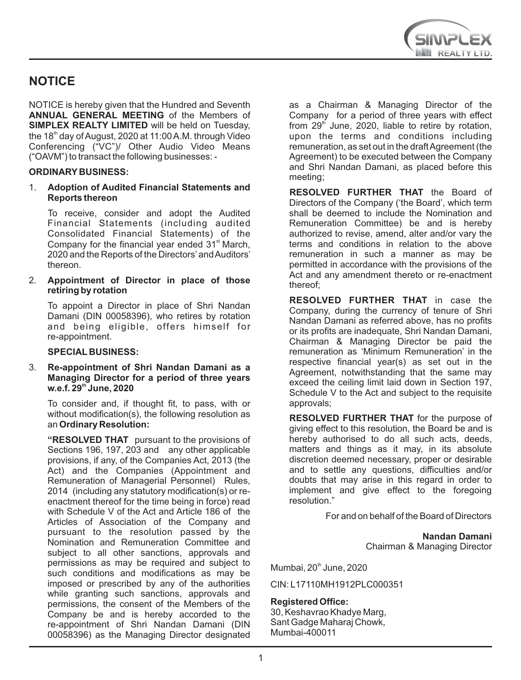

# **NOTICE**

NOTICE is hereby given that the Hundred and Seventh **ANNUAL GENERAL MEETING** of the Members of **SIMPLEX REALTY LIMITED** will be held on Tuesday, the  $18<sup>th</sup>$  day of August, 2020 at 11:00 A.M. through Video Conferencing ("VC")/ Other Audio Video Means ("OAVM") to transact the following businesses: -

#### **ORDINARY BUSINESS:**

1. **Adoption of Audited Financial Statements and Reports thereon**

To receive, consider and adopt the Audited Financial Statements (including audited Consolidated Financial Statements) of the Company for the financial year ended  $31<sup>st</sup>$  March, 2020 and the Reports of the Directors'and Auditors' thereon.

2. **Appointment of Director in place of those retiring by rotation** 

To appoint a Director in place of Shri Nandan Damani (DIN 00058396), who retires by rotation and being eligible, offers himself for re-appointment.

**SPECIAL BUSINESS:** 

#### 3. **Re-appointment of Shri Nandan Damani as a Managing Director for a period of three years th w.e.f. 29 June, 2020**

To consider and, if thought fit, to pass, with or without modification(s), the following resolution as an **Ordinary Resolution:**

**"RESOLVED THAT** pursuant to the provisions of Sections 196, 197, 203 and any other applicable provisions, if any, of the Companies Act, 2013 (the Act) and the Companies (Appointment and Remuneration of Managerial Personnel) Rules, 2014 (including any statutory modification(s) or reenactment thereof for the time being in force) read with Schedule V of the Act and Article 186 of the Articles of Association of the Company and pursuant to the resolution passed by the Nomination and Remuneration Committee and subject to all other sanctions, approvals and permissions as may be required and subject to such conditions and modifications as may be imposed or prescribed by any of the authorities while granting such sanctions, approvals and permissions, the consent of the Members of the Company be and is hereby accorded to the re-appointment of Shri Nandan Damani (DIN 00058396) as the Managing Director designated

as a Chairman & Managing Director of the Company for a period of three years with effect from  $29<sup>th</sup>$  June, 2020, liable to retire by rotation. upon the terms and conditions including remuneration, as set out in the draft Agreement (the Agreement) to be executed between the Company and Shri Nandan Damani, as placed before this meeting;

**RESOLVED FURTHER THAT** the Board of Directors of the Company ('the Board', which term shall be deemed to include the Nomination and Remuneration Committee) be and is hereby authorized to revise, amend, alter and/or vary the terms and conditions in relation to the above remuneration in such a manner as may be permitted in accordance with the provisions of the Act and any amendment thereto or re-enactment thereof;

**RESOLVED FURTHER THAT** in case the Company, during the currency of tenure of Shri Nandan Damani as referred above, has no profits or its profits are inadequate, Shri Nandan Damani, Chairman & Managing Director be paid the remuneration as 'Minimum Remuneration' in the respective financial year(s) as set out in the Agreement, notwithstanding that the same may exceed the ceiling limit laid down in Section 197, Schedule V to the Act and subject to the requisite approvals;

**RESOLVED FURTHER THAT** for the purpose of giving effect to this resolution, the Board be and is hereby authorised to do all such acts, deeds, matters and things as it may, in its absolute discretion deemed necessary, proper or desirable and to settle any questions, difficulties and/or doubts that may arise in this regard in order to implement and give effect to the foregoing resolution."

For and on behalf of the Board of Directors

**Nandan Damani**  Chairman & Managing Director

Mumbai, 20<sup>th</sup> June, 2020

CIN: L17110MH1912PLC000351

#### **Registered Office:**

30, Keshavrao Khadye Marg, Sant Gadge Maharaj Chowk, Mumbai-400011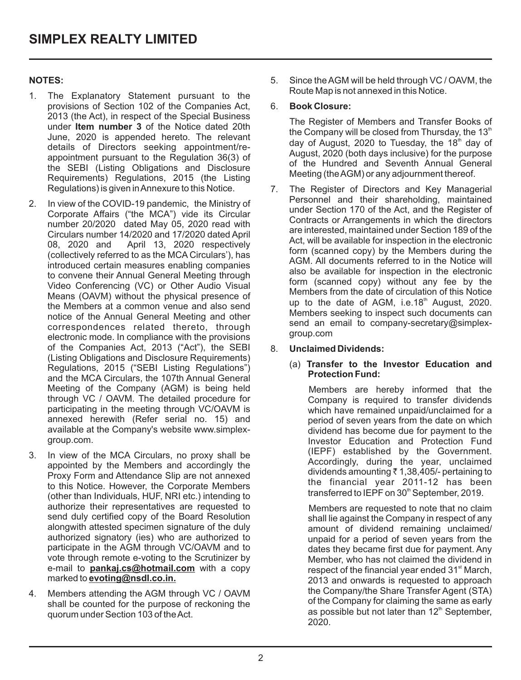# **NOTES:**

- 1. The Explanatory Statement pursuant to the provisions of Section 102 of the Companies Act, 2013 (the Act), in respect of the Special Business under **Item number 3** of the Notice dated 20th June, 2020 is appended hereto. The relevant details of Directors seeking appointment/reappointment pursuant to the Regulation 36(3) of the SEBI (Listing Obligations and Disclosure Requirements) Regulations, 2015 (the Listing Regulations) is given in Annexure to this Notice.
- 2. In view of the COVID-19 pandemic, the Ministry of Corporate Affairs ("the MCA") vide its Circular number 20/2020 dated May 05, 2020 read with Circulars number 14/2020 and 17/2020 dated April April 13, 2020 respectively (collectively referred to as the MCA Circulars'), has introduced certain measures enabling companies to convene their Annual General Meeting through Video Conferencing (VC) or Other Audio Visual Means (OAVM) without the physical presence of the Members at a common venue and also send notice of the Annual General Meeting and other correspondences related thereto, through electronic mode. In compliance with the provisions of the Companies Act, 2013 ("Act"), the SEBI (Listing Obligations and Disclosure Requirements) Regulations, 2015 ("SEBI Listing Regulations") and the MCA Circulars, the 107th Annual General Meeting of the Company (AGM) is being held through VC / OAVM. The detailed procedure for participating in the meeting through VC/OAVM is annexed herewith (Refer serial no. 15) and available at the Company's website www.simplexgroup.com.
- 3. In view of the MCA Circulars, no proxy shall be appointed by the Members and accordingly the Proxy Form and Attendance Slip are not annexed to this Notice. However, the Corporate Members (other than Individuals, HUF, NRI etc.) intending to authorize their representatives are requested to send duly certified copy of the Board Resolution alongwith attested specimen signature of the duly authorized signatory (ies) who are authorized to participate in the AGM through VC/OAVM and to vote through remote e-voting to the Scrutinizer by e-mail to **pankaj.cs@hotmail.com** with a copy marked to **evoting@nsdl.co.in.**
- 4. Members attending the AGM through VC / OAVM shall be counted for the purpose of reckoning the quorum under Section 103 of the Act.

5. Since the AGM will be held through VC / OAVM, the Route Map is not annexed in this Notice.

# 6. **Book Closure:**

- The Register of Members and Transfer Books of the Company will be closed from Thursday, the  $13<sup>th</sup>$ day of August, 2020 to Tuesday, the  $18<sup>th</sup>$  day of August, 2020 (both days inclusive) for the purpose of the Hundred and Seventh Annual General Meeting (the AGM) or any adjournment thereof.
- 7. The Register of Directors and Key Managerial Personnel and their shareholding, maintained under Section 170 of the Act, and the Register of Contracts or Arrangements in which the directors are interested, maintained under Section 189 of the Act, will be available for inspection in the electronic form (scanned copy) by the Members during the AGM. All documents referred to in the Notice will also be available for inspection in the electronic form (scanned copy) without any fee by the Members from the date of circulation of this Notice up to the date of AGM, i.e.18<sup>th</sup> August, 2020. Members seeking to inspect such documents can send an email to company-secretary@simplexgroup.com

# 8. **Unclaimed Dividends:**

#### (a) **Transfer to the Investor Education and Protection Fund:**

Members are hereby informed that the Company is required to transfer dividends which have remained unpaid/unclaimed for a period of seven years from the date on which dividend has become due for payment to the Investor Education and Protection Fund (IEPF) established by the Government. Accordingly, during the year, unclaimed dividends amounting  $\bar{\tau}$  1,38,405/- pertaining to the financial year 2011-12 has been transferred to IEPF on 30<sup>th</sup> September, 2019.

Members are requested to note that no claim shall lie against the Company in respect of any amount of dividend remaining unclaimed/ unpaid for a period of seven years from the dates they became first due for payment. Any Member, who has not claimed the dividend in respect of the financial year ended 31<sup>st</sup> March, 2013 and onwards is requested to approach the Company/the Share Transfer Agent (STA) of the Company for claiming the same as early as possible but not later than 12<sup>th</sup> September, 2020.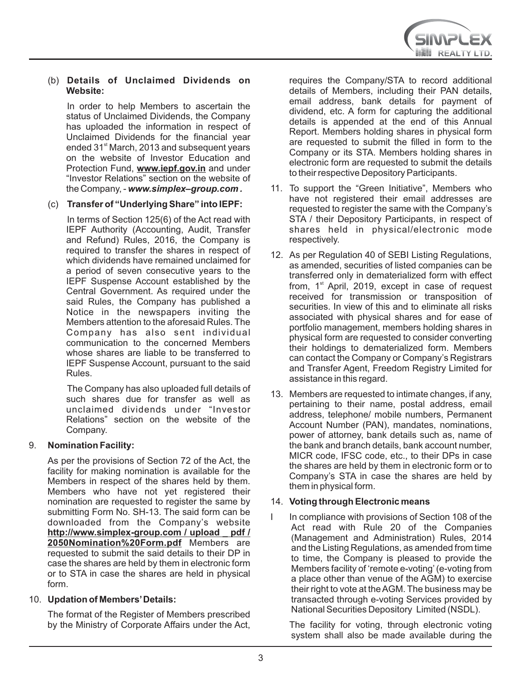#### (b) **Details of Unclaimed Dividends on Website:**

In order to help Members to ascertain the status of Unclaimed Dividends, the Company has uploaded the information in respect of Unclaimed Dividends for the financial year ended 31<sup>st</sup> March, 2013 and subsequent years on the website of Investor Education and Protection Fund, **www.iepf.gov.in** and under "Investor Relations" section on the website of the Company, - *www.simplex–group.com .*

# (c) **Transfer of "Underlying Share" into IEPF:**

In terms of Section 125(6) of the Act read with IEPF Authority (Accounting, Audit, Transfer and Refund) Rules, 2016, the Company is required to transfer the shares in respect of which dividends have remained unclaimed for a period of seven consecutive years to the IEPF Suspense Account established by the Central Government. As required under the said Rules, the Company has published a Notice in the newspapers inviting the Members attention to the aforesaid Rules. The Company has also sent individual communication to the concerned Members whose shares are liable to be transferred to IEPF Suspense Account, pursuant to the said Rules.

The Company has also uploaded full details of such shares due for transfer as well as unclaimed dividends under "Investor Relations" section on the website of the Company.

# 9. **Nomination Facility:**

As per the provisions of Section 72 of the Act, the facility for making nomination is available for the Members in respect of the shares held by them. Members who have not yet registered their nomination are requested to register the same by submitting Form No. SH-13. The said form can be downloaded from the Company's website **[http://www.simplex-group.com / upload \\_ pdf /](http://www.simplex-group.com/upload_pdf/2050Nomination%20Form.pdf) 2050Nomination%20Form.pdf** Members are requested to submit the said details to their DP in case the shares are held by them in electronic form or to STA in case the shares are held in physical form.

# 10. **Updation of Members'Details:**

The format of the Register of Members prescribed by the Ministry of Corporate Affairs under the Act,

requires the Company/STA to record additional details of Members, including their PAN details, email address, bank details for payment of dividend, etc. A form for capturing the additional details is appended at the end of this Annual Report. Members holding shares in physical form are requested to submit the filled in form to the Company or its STA. Members holding shares in electronic form are requested to submit the details to their respective Depository Participants.

- 11. To support the "Green Initiative", Members who have not registered their email addresses are requested to register the same with the Company's STA / their Depository Participants, in respect of shares held in physical/electronic mode respectively.
- 12. As per Regulation 40 of SEBI Listing Regulations, as amended, securities of listed companies can be transferred only in dematerialized form with effect from,  $1<sup>st</sup>$  April, 2019, except in case of request received for transmission or transposition of securities. In view of this and to eliminate all risks associated with physical shares and for ease of portfolio management, members holding shares in physical form are requested to consider converting their holdings to dematerialized form. Members can contact the Company or Company's Registrars and Transfer Agent, Freedom Registry Limited for assistance in this regard.
- 13. Members are requested to intimate changes, if any, pertaining to their name, postal address, email address, telephone/ mobile numbers, Permanent Account Number (PAN), mandates, nominations, power of attorney, bank details such as, name of the bank and branch details, bank account number, MICR code, IFSC code, etc., to their DPs in case the shares are held by them in electronic form or to Company's STA in case the shares are held by them in physical form.

# 14. **Voting through Electronic means**

In compliance with provisions of Section 108 of the Act read with Rule 20 of the Companies (Management and Administration) Rules, 2014 and the Listing Regulations, as amended from time to time, the Company is pleased to provide the Members facility of 'remote e-voting'(e-voting from a place other than venue of the AGM) to exercise their right to vote at the AGM. The business may be transacted through e-voting Services provided by National Securities Depository Limited (NSDL).

The facility for voting, through electronic voting system shall also be made available during the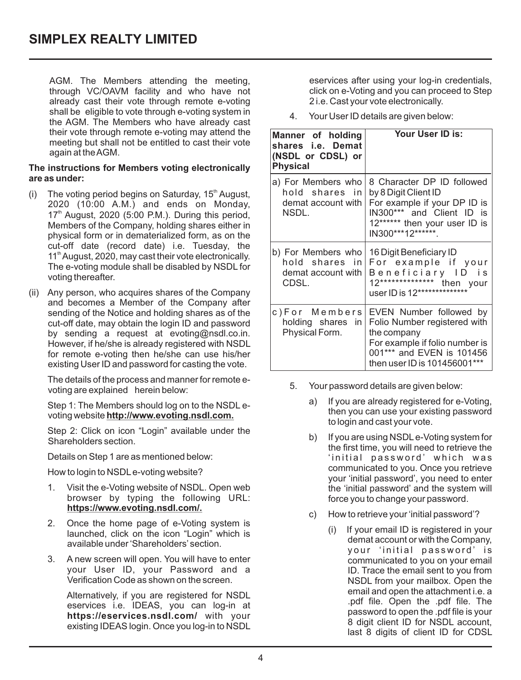AGM. The Members attending the meeting, through VC/OAVM facility and who have not already cast their vote through remote e-voting shall be eligible to vote through e-voting system in the AGM. The Members who have already cast their vote through remote e-voting may attend the meeting but shall not be entitled to cast their vote again at the AGM.

#### **The instructions for Members voting electronically are as under:**

- (i) The voting period begins on Saturday,  $15<sup>th</sup>$  August, 2020 (10:00 A.M.) and ends on Monday,  $17<sup>th</sup>$  August, 2020 (5:00 P.M.). During this period, Members of the Company, holding shares either in physical form or in dematerialized form, as on the cut-off date (record date) i.e. Tuesday, the 11<sup>th</sup> August, 2020, may cast their vote electronically. The e-voting module shall be disabled by NSDL for voting thereafter.
- (ii) Any person, who acquires shares of the Company and becomes a Member of the Company after sending of the Notice and holding shares as of the cut-off date, may obtain the login ID and password by sending a request at evoting@nsdl.co.in. However, if he/she is already registered with NSDL for remote e-voting then he/she can use his/her existing User ID and password for casting the vote.

The details of the process and manner for remote evoting are explained herein below:

Step 1: The Members should log on to the NSDL evoting website **http://www.evoting.nsdl.com.** 

Step 2: Click on icon "Login" available under the Shareholders section.

Details on Step 1 are as mentioned below:

How to login to NSDLe-voting website?

- 1. Visit the e-Voting website of NSDL. Open web browser by typing the following URL: **https://www.evoting.nsdl.com/.**
- 2. Once the home page of e-Voting system is launched, click on the icon "Login" which is available under 'Shareholders' section.
- 3. A new screen will open. You will have to enter your User ID, your Password and a Verification Code as shown on the screen.

 Alternatively, if you are registered for NSDL eservices i.e. IDEAS, you can log-in at **https://eservices.nsdl.com/** with your existing IDEAS login. Once you log-in to NSDL eservices after using your log-in credentials, click on e-Voting and you can proceed to Step 2 i.e. Cast your vote electronically.

4. Your User ID details are given below:

| Manner of holding<br>shares i.e. Demat<br>(NSDL or CDSL) or<br><b>Physical</b> | Your User ID is:                                                                                                                                                      |
|--------------------------------------------------------------------------------|-----------------------------------------------------------------------------------------------------------------------------------------------------------------------|
| a) For Members who<br>hold shares in<br>demat account with<br>NSDL.            | 8 Character DP ID followed<br>by 8 Digit Client ID<br>For example if your DP ID is<br>IN300*** and Client ID is<br>12****** then your user ID is<br>IN300***12******  |
| b) For Members who<br>hold shares in<br>demat account with<br>CDSL.            | 16 Digit Beneficiary ID<br>For example if your<br>Beneficiary ID is<br>12*************** then your<br>user ID is 12**************                                     |
| c)For Members<br>holding shares in<br>Physical Form.                           | EVEN Number followed by<br>Folio Number registered with<br>the company<br>For example if folio number is<br>001*** and EVEN is 101456<br>then user ID is 101456001*** |

- 5. Your password details are given below:
	- a) If you are already registered for e-Voting, then you can use your existing password to login and cast your vote.
	- b) If you are using NSDLe-Voting system for the first time, you will need to retrieve the 'initial password' which was communicated to you. Once you retrieve your 'initial password', you need to enter the 'initial password' and the system will force you to change your password.
	- c) How to retrieve your 'initial password'?
		- If your email ID is registered in your demat account or with the Company, your 'initial password' is communicated to you on your email ID. Trace the email sent to you from NSDL from your mailbox. Open the email and open the attachment i.e. a .pdf file. Open the .pdf file. The password to open the .pdf file is your 8 digit client ID for NSDL account, last 8 digits of client ID for CDSL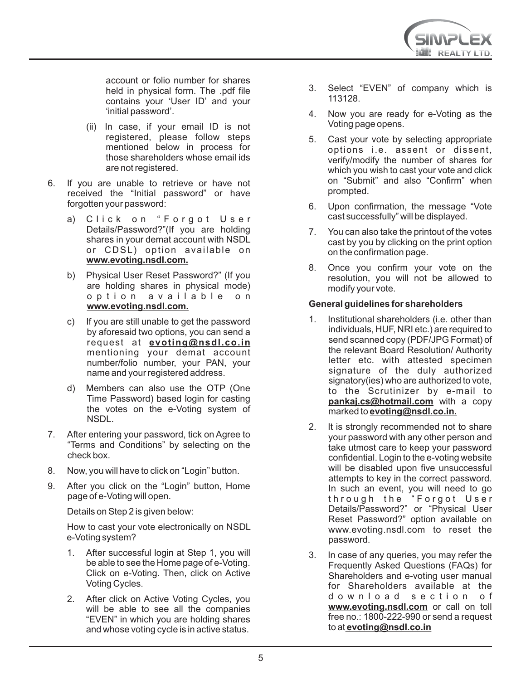

account or folio number for shares held in physical form. The .pdf file contains your 'User ID' and your 'initial password'.

- (ii) In case, if your email ID is not registered, please follow steps mentioned below in process for those shareholders whose email ids are not registered.
- 6. If you are unable to retrieve or have not received the "Initial password" or have forgotten your password:
	- a) Click on "Forgot User Details/Password?"(If you are holding shares in your demat account with NSDL or CDSL) option available on **www.evoting.nsdl.com.**
	- b) Physical User Reset Password?" (If you are holding shares in physical mode) o p t i o n a v a i l a b l e o n **www.evoting.nsdl.com.**
	- c) If you are still unable to get the password by aforesaid two options, you can send a request at **evoting@nsdl.co.in** mentioning your demat account number/folio number, your PAN, your name and your registered address.
	- d) Members can also use the OTP (One Time Password) based login for casting the votes on the e-Voting system of NSDL.
- 7. After entering your password, tick on Agree to "Terms and Conditions" by selecting on the check box.
- 8. Now, you will have to click on "Login" button.
- 9. After you click on the "Login" button, Home page of e-Voting will open.

Details on Step 2 is given below:

How to cast your vote electronically on NSDL e-Voting system?

- 1. After successful login at Step 1, you will be able to see the Home page of e-Voting. Click on e-Voting. Then, click on Active Voting Cycles.
- 2. After click on Active Voting Cycles, you will be able to see all the companies "EVEN" in which you are holding shares and whose voting cycle is in active status.
- 3. Select "EVEN" of company which is 113128.
- 4. Now you are ready for e-Voting as the Voting page opens.
- 5. Cast your vote by selecting appropriate options i.e. assent or dissent, verify/modify the number of shares for which you wish to cast your vote and click on "Submit" and also "Confirm" when prompted.
- 6. Upon confirmation, the message "Vote cast successfully" will be displayed.
- 7. You can also take the printout of the votes cast by you by clicking on the print option on the confirmation page.
- 8. Once you confirm your vote on the resolution, you will not be allowed to modify your vote.

# **General guidelines for shareholders**

- 1. Institutional shareholders (i.e. other than individuals, HUF, NRI etc.) are required to send scanned copy (PDF/JPG Format) of the relevant Board Resolution/ Authority letter etc. with attested specimen signature of the duly authorized signatory(ies) who are authorized to vote, to the Scrutinizer by e-mail to **pankaj.cs@hotmail.com** with a copy marked to **evoting@nsdl.co.in.**
- 2. It is strongly recommended not to share your password with any other person and take utmost care to keep your password confidential. Login to the e-voting website will be disabled upon five unsuccessful attempts to key in the correct password. In such an event, you will need to go through the "Forgot User Details/Password?" or "Physical User Reset Password?" option available on www.evoting.nsdl.com to reset the password.
- 3. In case of any queries, you may refer the Frequently Asked Questions (FAQs) for Shareholders and e-voting user manual for Shareholders available at the d o w n l o a d section of **www.evoting.nsdl.com** or call on toll free no.: 1800-222-990 or send a request to at **evoting@nsdl.co.in**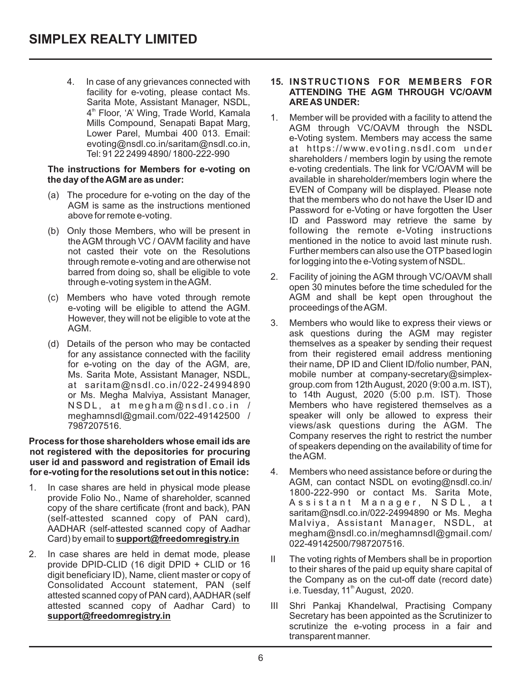4. In case of any grievances connected with facility for e-voting, please contact Ms. Sarita Mote, Assistant Manager, NSDL, 4<sup>th</sup> Floor, 'A' Wing, Trade World, Kamala Mills Compound, Senapati Bapat Marg, Lower Parel, Mumbai 400 013. Email: evoting@nsdl.co.in/saritam@nsdl.co.in, Tel: 91 22 2499 4890/ 1800-222-990

#### **The instructions for Members for e-voting on the day of the AGM are as under:**

- (a) The procedure for e-voting on the day of the AGM is same as the instructions mentioned above for remote e-voting.
- (b) Only those Members, who will be present in the AGM through VC / OAVM facility and have not casted their vote on the Resolutions through remote e-voting and are otherwise not barred from doing so, shall be eligible to vote through e-voting system in the AGM.
- (c) Members who have voted through remote e-voting will be eligible to attend the AGM. However, they will not be eligible to vote at the AGM.
- (d) Details of the person who may be contacted for any assistance connected with the facility for e-voting on the day of the AGM, are, Ms. Sarita Mote, Assistant Manager, NSDL, at saritam@nsdl.co.in/022-24994890 or Ms. Megha Malviya, Assistant Manager, NSDL, at megham@nsdl.co.in / meghamnsdl@gmail.com/022-49142500 / 7987207516.

#### **Process for those shareholders whose email ids are not registered with the depositories for procuring user id and password and registration of Email ids for e-voting for the resolutions set out in this notice:**

- 1. In case shares are held in physical mode please provide Folio No., Name of shareholder, scanned copy of the share certificate (front and back), PAN (self-attested scanned copy of PAN card), AADHAR (self-attested scanned copy of Aadhar Card) by email to **support@freedomregistry.in**
- 2. In case shares are held in demat mode, please provide DPID-CLID (16 digit DPID + CLID or 16 digit beneficiary ID), Name, client master or copy of Consolidated Account statement, PAN (self attested scanned copy of PAN card), AADHAR (self attested scanned copy of Aadhar Card) to **support@freedomregistry.in**

#### **15. INSTRUCTIONS FOR MEMBERS FOR ATTENDING THE AGM THROUGH VC/OAVM ARE AS UNDER:**

- 1. Member will be provided with a facility to attend the AGM through VC/OAVM through the NSDL e-Voting system. Members may access the same at https://www.evoting.nsdl.com under shareholders / members login by using the remote e-voting credentials. The link for VC/OAVM will be available in shareholder/members login where the EVEN of Company will be displayed. Please note that the members who do not have the User ID and Password for e-Voting or have forgotten the User ID and Password may retrieve the same by following the remote e-Voting instructions mentioned in the notice to avoid last minute rush. Further members can also use the OTP based login for logging into the e-Voting system of NSDL.
- 2. Facility of joining the AGM through VC/OAVM shall open 30 minutes before the time scheduled for the AGM and shall be kept open throughout the proceedings of the AGM.
- 3. Members who would like to express their views or ask questions during the AGM may register themselves as a speaker by sending their request from their registered email address mentioning their name, DP ID and Client ID/folio number, PAN, mobile number at company-secretary@simplexgroup.com from 12th August, 2020 (9:00 a.m. IST), to 14th August, 2020 (5:00 p.m. IST). Those Members who have registered themselves as a speaker will only be allowed to express their views/ask questions during the AGM. The Company reserves the right to restrict the number of speakers depending on the availability of time for the AGM.
- 4. Members who need assistance before or during the AGM, can contact NSDL on evoting@nsdl.co.in/ 1800-222-990 or contact Ms. Sarita Mote, Assistant Manager, NSDL, at saritam@nsdl.co.in/022-24994890 or Ms. Megha Malviya, Assistant Manager, NSDL, at megham@nsdl.co.in/meghamnsdl@gmail.com/ 022-49142500/7987207516.
- II The voting rights of Members shall be in proportion to their shares of the paid up equity share capital of the Company as on the cut-off date (record date) i.e. Tuesday,  $11<sup>th</sup>$  August, 2020.
- III Shri Pankaj Khandelwal, Practising Company Secretary has been appointed as the Scrutinizer to scrutinize the e-voting process in a fair and transparent manner.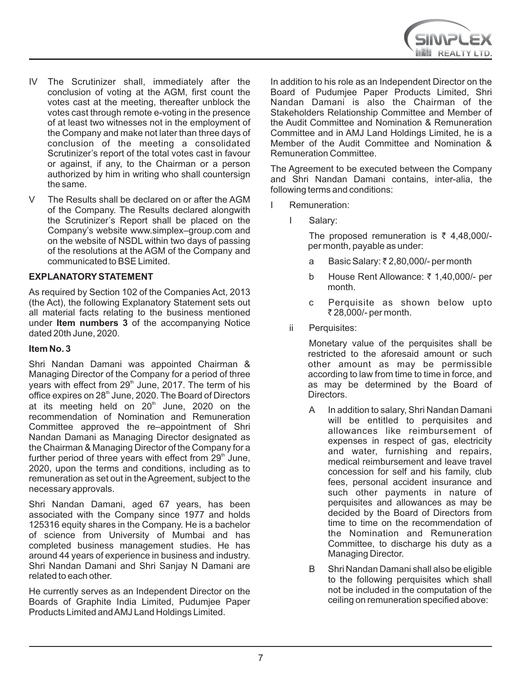- IV The Scrutinizer shall, immediately after the conclusion of voting at the AGM, first count the votes cast at the meeting, thereafter unblock the votes cast through remote e-voting in the presence of at least two witnesses not in the employment of the Company and make not later than three days of conclusion of the meeting a consolidated Scrutinizer's report of the total votes cast in favour or against, if any, to the Chairman or a person authorized by him in writing who shall countersign the same.
- V The Results shall be declared on or after the AGM of the Company. The Results declared alongwith the Scrutinizer's Report shall be placed on the Company's website www.simplex–group.com and on the website of NSDL within two days of passing of the resolutions at the AGM of the Company and communicated to BSE Limited.

#### **EXPLANATORYSTATEMENT**

As required by Section 102 of the Companies Act, 2013 (the Act), the following Explanatory Statement sets out all material facts relating to the business mentioned under **Item numbers 3** of the accompanying Notice dated 20th June, 2020.

#### **Item No. 3**

Shri Nandan Damani was appointed Chairman & Managing Director of the Company for a period of three years with effect from 29<sup>th</sup> June, 2017. The term of his office expires on 28<sup>th</sup> June, 2020. The Board of Directors at its meeting held on  $20<sup>th</sup>$  June, 2020 on the recommendation of Nomination and Remuneration Committee approved the re–appointment of Shri Nandan Damani as Managing Director designated as the Chairman & Managing Director of the Company for a further period of three years with effect from  $29<sup>th</sup>$  June. 2020, upon the terms and conditions, including as to remuneration as set out in the Agreement, subject to the necessary approvals.

Shri Nandan Damani, aged 67 years, has been associated with the Company since 1977 and holds 125316 equity shares in the Company. He is a bachelor of science from University of Mumbai and has completed business management studies. He has around 44 years of experience in business and industry. Shri Nandan Damani and Shri Sanjay N Damani are related to each other.

He currently serves as an Independent Director on the Boards of Graphite India Limited, Pudumjee Paper Products Limited and AMJ Land Holdings Limited.

In addition to his role as an Independent Director on the Board of Pudumjee Paper Products Limited, Shri Nandan Damani is also the Chairman of the Stakeholders Relationship Committee and Member of the Audit Committee and Nomination & Remuneration Committee and in AMJ Land Holdings Limited, he is a Member of the Audit Committee and Nomination & Remuneration Committee.

The Agreement to be executed between the Company and Shri Nandan Damani contains, inter-alia, the following terms and conditions:

- I Remuneration:
	- I Salary:

The proposed remuneration is  $\bar{\tau}$  4,48,000/per month, payable as under:

- a Basic Salary: ₹2,80,000/- per month
- b House Rent Allowance: ₹1,40,000/- per month.
- c Perquisite as shown below upto ₹ 28,000/- per month.
- ii Perquisites:

Monetary value of the perquisites shall be restricted to the aforesaid amount or such other amount as may be permissible according to law from time to time in force, and as may be determined by the Board of Directors.

- A In addition to salary, Shri Nandan Damani will be entitled to perquisites and allowances like reimbursement of expenses in respect of gas, electricity and water, furnishing and repairs, medical reimbursement and leave travel concession for self and his family, club fees, personal accident insurance and such other payments in nature of perquisites and allowances as may be decided by the Board of Directors from time to time on the recommendation of the Nomination and Remuneration Committee, to discharge his duty as a Managing Director.
- B Shri Nandan Damani shall also be eligible to the following perquisites which shall not be included in the computation of the ceiling on remuneration specified above: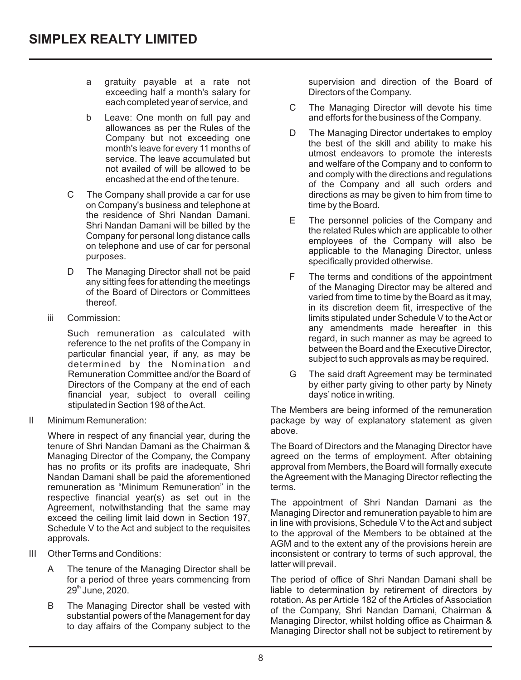- a gratuity payable at a rate not exceeding half a month's salary for each completed year of service, and
- b Leave: One month on full pay and allowances as per the Rules of the Company but not exceeding one month's leave for every 11 months of service. The leave accumulated but not availed of will be allowed to be encashed at the end of the tenure.
- C The Company shall provide a car for use on Company's business and telephone at the residence of Shri Nandan Damani. Shri Nandan Damani will be billed by the Company for personal long distance calls on telephone and use of car for personal purposes.
- D The Managing Director shall not be paid any sitting fees for attending the meetings of the Board of Directors or Committees thereof.
- iii Commission:

Such remuneration as calculated with reference to the net profits of the Company in particular financial year, if any, as may be determined by the Nomination and Remuneration Committee and/or the Board of Directors of the Company at the end of each financial year, subject to overall ceiling stipulated in Section 198 of the Act.

II Minimum Remuneration:

Where in respect of any financial year, during the tenure of Shri Nandan Damani as the Chairman & Managing Director of the Company, the Company has no profits or its profits are inadequate, Shri Nandan Damani shall be paid the aforementioned remuneration as "Minimum Remuneration" in the respective financial year(s) as set out in the Agreement, notwithstanding that the same may exceed the ceiling limit laid down in Section 197, Schedule V to the Act and subject to the requisites approvals.

- III Other Terms and Conditions:
	- A The tenure of the Managing Director shall be for a period of three years commencing from  $29<sup>th</sup>$  June, 2020.
	- B The Managing Director shall be vested with substantial powers of the Management for day to day affairs of the Company subject to the

supervision and direction of the Board of Directors of the Company.

- C The Managing Director will devote his time and efforts for the business of the Company.
- D The Managing Director undertakes to employ the best of the skill and ability to make his utmost endeavors to promote the interests and welfare of the Company and to conform to and comply with the directions and regulations of the Company and all such orders and directions as may be given to him from time to time by the Board.
- E The personnel policies of the Company and the related Rules which are applicable to other employees of the Company will also be applicable to the Managing Director, unless specifically provided otherwise.
- F The terms and conditions of the appointment of the Managing Director may be altered and varied from time to time by the Board as it may, in its discretion deem fit, irrespective of the limits stipulated under Schedule V to the Act or any amendments made hereafter in this regard, in such manner as may be agreed to between the Board and the Executive Director, subject to such approvals as may be required.
- G The said draft Agreement may be terminated by either party giving to other party by Ninety days'notice in writing.

The Members are being informed of the remuneration package by way of explanatory statement as given above.

The Board of Directors and the Managing Director have agreed on the terms of employment. After obtaining approval from Members, the Board will formally execute the Agreement with the Managing Director reflecting the terms.

The appointment of Shri Nandan Damani as the Managing Director and remuneration payable to him are in line with provisions, Schedule V to the Act and subject to the approval of the Members to be obtained at the AGM and to the extent any of the provisions herein are inconsistent or contrary to terms of such approval, the latter will prevail.

The period of office of Shri Nandan Damani shall be liable to determination by retirement of directors by rotation. As per Article 182 of the Articles of Association of the Company, Shri Nandan Damani, Chairman & Managing Director, whilst holding office as Chairman & Managing Director shall not be subject to retirement by